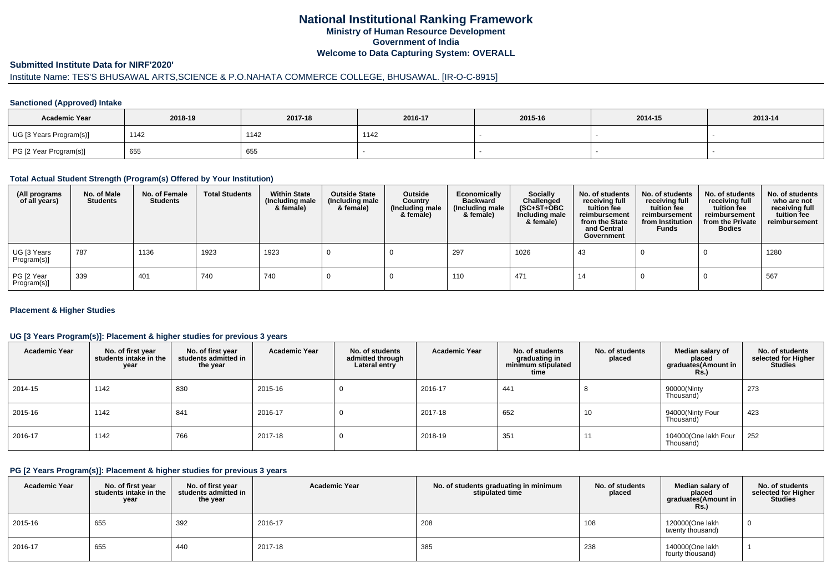# **National Institutional Ranking FrameworkMinistry of Human Resource DevelopmentGovernment of IndiaWelcome to Data Capturing System: OVERALL**

## **Submitted Institute Data for NIRF'2020'**

# Institute Name: TES'S BHUSAWAL ARTS,SCIENCE & P.O.NAHATA COMMERCE COLLEGE, BHUSAWAL. [IR-O-C-8915]

## **Sanctioned (Approved) Intake**

| <b>Academic Year</b>    | 2018-19 | 2017-18 | 2016-17 | 2015-16 | 2014-15 | 2013-14 |
|-------------------------|---------|---------|---------|---------|---------|---------|
| UG [3 Years Program(s)] | 1142    | 1142    | 1142    |         |         |         |
| PG [2 Year Program(s)]  | 655     | 655     |         |         |         |         |

#### **Total Actual Student Strength (Program(s) Offered by Your Institution)**

| (All programs<br>of all years) | No. of Male<br><b>Students</b> | No. of Female<br><b>Students</b> | <b>Total Students</b> | <b>Within State</b><br>(Including male<br>& female) | <b>Outside State</b><br>(Including male<br>& female) | Outside<br>Country<br>(Including male<br>& female) | Economically<br><b>Backward</b><br>(Including male<br>& female) | <b>Socially</b><br>Challenged<br>$(SC+ST+OBC)$<br>Including male<br>& female) | No. of students<br>receiving full<br>tuition fee<br>reimbursement<br>from the State<br>and Central<br>Government | No. of students<br>receiving full<br>tuition fee<br>reimbursement<br>from Institution<br><b>Funds</b> | No. of students<br>receiving full<br>tuition fee<br>reimbursement<br>from the Private<br><b>Bodies</b> | No. of students<br>who are not<br>receiving full<br>tuition fee<br>reimbursement |
|--------------------------------|--------------------------------|----------------------------------|-----------------------|-----------------------------------------------------|------------------------------------------------------|----------------------------------------------------|-----------------------------------------------------------------|-------------------------------------------------------------------------------|------------------------------------------------------------------------------------------------------------------|-------------------------------------------------------------------------------------------------------|--------------------------------------------------------------------------------------------------------|----------------------------------------------------------------------------------|
| UG [3 Years<br>Program(s)]     | 787                            | 1136                             | 1923                  | 1923                                                |                                                      |                                                    | 297                                                             | 1026                                                                          | 43                                                                                                               |                                                                                                       |                                                                                                        | 1280                                                                             |
| PG [2 Year<br>Program(s)]      | 339                            | 401                              | 740                   | 740                                                 |                                                      |                                                    | 110                                                             | 471                                                                           | 14                                                                                                               |                                                                                                       |                                                                                                        | 567                                                                              |

## **Placement & Higher Studies**

## **UG [3 Years Program(s)]: Placement & higher studies for previous 3 years**

| <b>Academic Year</b> | No. of first year<br>students intake in the<br>year | No. of first vear<br>students admitted in<br>the year | <b>Academic Year</b> | No. of students<br>admitted through<br>Lateral entry | <b>Academic Year</b> | No. of students<br>graduating in<br>minimum stipulated<br>time | No. of students<br>placed | Median salary of<br>placed<br>graduates(Amount in<br>Rs. | No. of students<br>selected for Higher<br><b>Studies</b> |
|----------------------|-----------------------------------------------------|-------------------------------------------------------|----------------------|------------------------------------------------------|----------------------|----------------------------------------------------------------|---------------------------|----------------------------------------------------------|----------------------------------------------------------|
| 2014-15              | 1142                                                | 830                                                   | 2015-16              | U                                                    | 2016-17              | 441                                                            | $\circ$                   | 90000(Ninty<br>Thousand)                                 | 273                                                      |
| 2015-16              | 1142                                                | 841                                                   | 2016-17              | U                                                    | 2017-18              | 652                                                            | 10                        | 94000(Ninty Four<br>Thousand)                            | 423                                                      |
| 2016-17              | 1142                                                | 766                                                   | 2017-18              | υ                                                    | 2018-19              | 351                                                            | 11                        | 104000(One lakh Four<br>Thousand)                        | 252                                                      |

#### **PG [2 Years Program(s)]: Placement & higher studies for previous 3 years**

| <b>Academic Year</b> | No. of first year<br>students intake in the<br>year | No. of first vear<br>students admitted in<br>the year | <b>Academic Year</b> | No. of students graduating in minimum<br>stipulated time | No. of students<br>placed | Median salary of<br>placed<br>graduates(Amount in<br><b>Rs.)</b> | No. of students<br>selected for Higher<br><b>Studies</b> |
|----------------------|-----------------------------------------------------|-------------------------------------------------------|----------------------|----------------------------------------------------------|---------------------------|------------------------------------------------------------------|----------------------------------------------------------|
| 2015-16              | 655                                                 | 392                                                   | 2016-17              | 208                                                      | 108                       | 120000(One lakh<br>twenty thousand)                              |                                                          |
| 2016-17              | 655                                                 | 440                                                   | 2017-18              | 385                                                      | 238                       | 140000(One lakh<br>fourty thousand)                              |                                                          |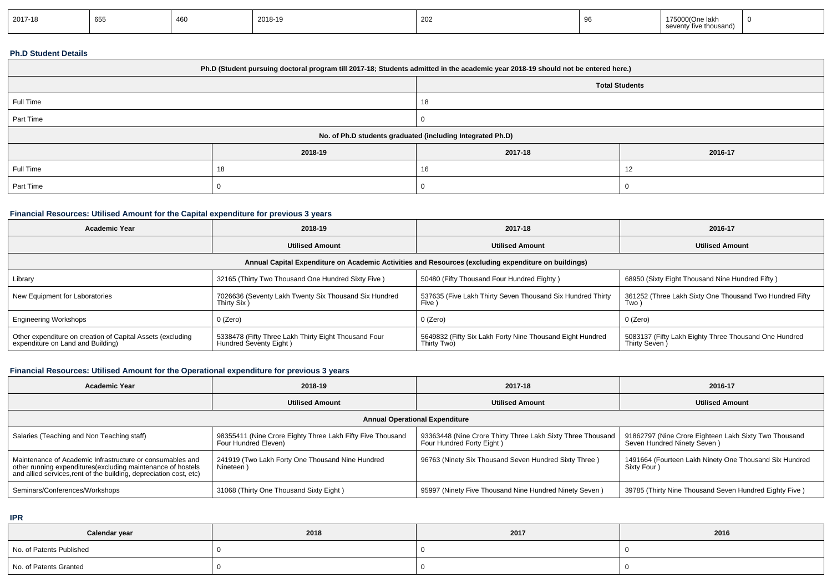| 2017-18 | 655 |  | 2018-19 | 202 |  | : іакі<br>enty five thousanc/ |  |
|---------|-----|--|---------|-----|--|-------------------------------|--|
|---------|-----|--|---------|-----|--|-------------------------------|--|

## **Ph.D Student Details**

| Ph.D (Student pursuing doctoral program till 2017-18; Students admitted in the academic year 2018-19 should not be entered here.) |         |                                                            |                |  |  |  |
|-----------------------------------------------------------------------------------------------------------------------------------|---------|------------------------------------------------------------|----------------|--|--|--|
| <b>Total Students</b>                                                                                                             |         |                                                            |                |  |  |  |
| Full Time                                                                                                                         |         | 18                                                         |                |  |  |  |
| Part Time                                                                                                                         |         |                                                            |                |  |  |  |
|                                                                                                                                   |         | No. of Ph.D students graduated (including Integrated Ph.D) |                |  |  |  |
|                                                                                                                                   | 2018-19 | 2017-18                                                    | 2016-17        |  |  |  |
| Full Time                                                                                                                         | 18      | 16                                                         | $\overline{1}$ |  |  |  |
| Part Time                                                                                                                         |         |                                                            |                |  |  |  |

## **Financial Resources: Utilised Amount for the Capital expenditure for previous 3 years**

| Academic Year                                                                                        | 2018-19                                                                        | 2017-18                                                                   | 2016-17                                                                |  |  |  |  |  |
|------------------------------------------------------------------------------------------------------|--------------------------------------------------------------------------------|---------------------------------------------------------------------------|------------------------------------------------------------------------|--|--|--|--|--|
|                                                                                                      | <b>Utilised Amount</b>                                                         | <b>Utilised Amount</b>                                                    | <b>Utilised Amount</b>                                                 |  |  |  |  |  |
| Annual Capital Expenditure on Academic Activities and Resources (excluding expenditure on buildings) |                                                                                |                                                                           |                                                                        |  |  |  |  |  |
| Library                                                                                              | 32165 (Thirty Two Thousand One Hundred Sixty Five)                             | 50480 (Fifty Thousand Four Hundred Eighty)                                | 68950 (Sixty Eight Thousand Nine Hundred Fifty)                        |  |  |  |  |  |
| New Equipment for Laboratories                                                                       | 7026636 (Seventy Lakh Twenty Six Thousand Six Hundred<br>Thirty Six)           | 537635 (Five Lakh Thirty Seven Thousand Six Hundred Thirty<br><b>Five</b> | 361252 (Three Lakh Sixty One Thousand Two Hundred Fifty<br>Two)        |  |  |  |  |  |
| <b>Engineering Workshops</b>                                                                         | 0 (Zero)                                                                       | 0 (Zero)                                                                  | 0 (Zero)                                                               |  |  |  |  |  |
| Other expenditure on creation of Capital Assets (excluding<br>expenditure on Land and Building)      | 5338478 (Fifty Three Lakh Thirty Eight Thousand Four<br>Hundred Seventy Eight) | 5649832 (Fifty Six Lakh Forty Nine Thousand Eight Hundred<br>Thirty Two)  | 5083137 (Fifty Lakh Eighty Three Thousand One Hundred<br>Thirty Seven) |  |  |  |  |  |

## **Financial Resources: Utilised Amount for the Operational expenditure for previous 3 years**

| <b>Academic Year</b>                                                                                                                                                                            | 2018-19                                                                            | 2017-18                                                                                  | 2016-17                                                                              |  |  |  |  |
|-------------------------------------------------------------------------------------------------------------------------------------------------------------------------------------------------|------------------------------------------------------------------------------------|------------------------------------------------------------------------------------------|--------------------------------------------------------------------------------------|--|--|--|--|
|                                                                                                                                                                                                 | <b>Utilised Amount</b>                                                             | <b>Utilised Amount</b>                                                                   | <b>Utilised Amount</b>                                                               |  |  |  |  |
| <b>Annual Operational Expenditure</b>                                                                                                                                                           |                                                                                    |                                                                                          |                                                                                      |  |  |  |  |
| Salaries (Teaching and Non Teaching staff)                                                                                                                                                      | 98355411 (Nine Crore Eighty Three Lakh Fifty Five Thousand<br>Four Hundred Eleven) | 93363448 (Nine Crore Thirty Three Lakh Sixty Three Thousand<br>Four Hundred Forty Eight) | 91862797 (Nine Crore Eighteen Lakh Sixty Two Thousand<br>Seven Hundred Ninety Seven) |  |  |  |  |
| Maintenance of Academic Infrastructure or consumables and<br>other running expenditures (excluding maintenance of hostels<br>and allied services, rent of the building, depreciation cost, etc) | 241919 (Two Lakh Forty One Thousand Nine Hundred<br>Nineteen                       | 96763 (Ninety Six Thousand Seven Hundred Sixty Three)                                    | 1491664 (Fourteen Lakh Ninety One Thousand Six Hundred<br>Sixty Four)                |  |  |  |  |
| Seminars/Conferences/Workshops                                                                                                                                                                  | 31068 (Thirty One Thousand Sixty Eight)                                            | 95997 (Ninety Five Thousand Nine Hundred Ninety Seven)                                   | 39785 (Thirty Nine Thousand Seven Hundred Eighty Five)                               |  |  |  |  |

**IPR**

| Calendar year            | 2018 | 2017 | 2016 |
|--------------------------|------|------|------|
| No. of Patents Published |      |      |      |
| No. of Patents Granted   |      |      |      |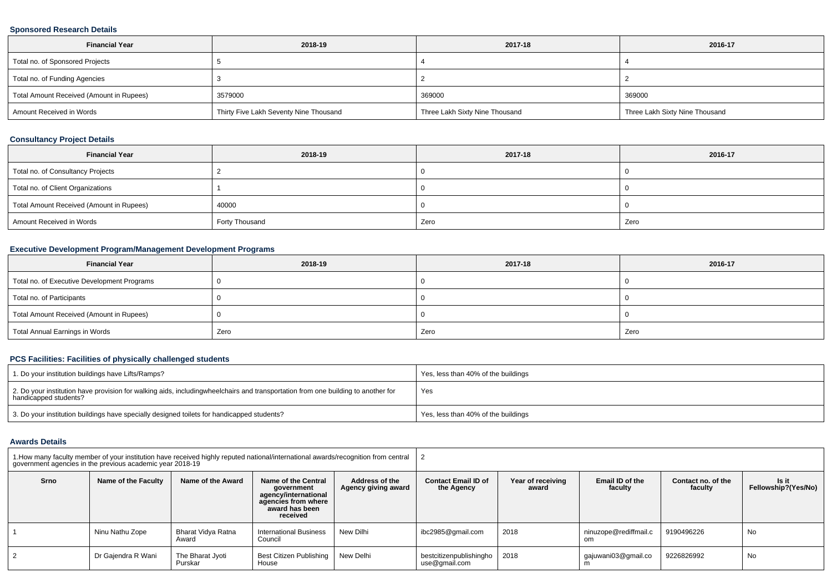## **Sponsored Research Details**

| <b>Financial Year</b>                    | 2018-19                                | 2017-18                        | 2016-17                        |
|------------------------------------------|----------------------------------------|--------------------------------|--------------------------------|
| Total no. of Sponsored Projects          |                                        |                                |                                |
| Total no. of Funding Agencies            |                                        |                                |                                |
| Total Amount Received (Amount in Rupees) | 3579000                                | 369000                         | 369000                         |
| Amount Received in Words                 | Thirty Five Lakh Seventy Nine Thousand | Three Lakh Sixty Nine Thousand | Three Lakh Sixty Nine Thousand |

## **Consultancy Project Details**

| <b>Financial Year</b>                    | 2018-19        | 2017-18 | 2016-17 |
|------------------------------------------|----------------|---------|---------|
| Total no. of Consultancy Projects        |                |         |         |
| Total no. of Client Organizations        |                |         |         |
| Total Amount Received (Amount in Rupees) | 40000          |         |         |
| Amount Received in Words                 | Forty Thousand | Zero    | Zero    |

## **Executive Development Program/Management Development Programs**

| <b>Financial Year</b>                       | 2018-19 | 2017-18 | 2016-17 |
|---------------------------------------------|---------|---------|---------|
| Total no. of Executive Development Programs |         |         |         |
| Total no. of Participants                   |         |         |         |
| Total Amount Received (Amount in Rupees)    |         |         |         |
| Total Annual Earnings in Words              | Zero    | Zero    | Zero    |

## **PCS Facilities: Facilities of physically challenged students**

| 1. Do your institution buildings have Lifts/Ramps?                                                                                                        | Yes, less than 40% of the buildings |
|-----------------------------------------------------------------------------------------------------------------------------------------------------------|-------------------------------------|
| 2. Do your institution have provision for walking aids, includingwheelchairs and transportation from one building to another for<br>handicapped students? | Yes                                 |
| 3. Do your institution buildings have specially designed toilets for handicapped students?                                                                | Yes, less than 40% of the buildings |

## **Awards Details**

|      | government agencies in the previous academic year 2018-19 |                             | 1. How many faculty member of your institution have received highly reputed national/international awards/recognition from central                      |           |                                          |                            |                              |                               |                              |  |  |
|------|-----------------------------------------------------------|-----------------------------|---------------------------------------------------------------------------------------------------------------------------------------------------------|-----------|------------------------------------------|----------------------------|------------------------------|-------------------------------|------------------------------|--|--|
| Srno | Name of the Faculty                                       | Name of the Award           | Name of the Central<br>Address of the<br>Agency giving award<br>government<br>agency/international<br>agencies from where<br>award has been<br>received |           | <b>Contact Email ID of</b><br>the Agency | Year of receiving<br>award | Email ID of the<br>faculty   | Contact no. of the<br>faculty | ls it<br>Fellowship?(Yes/No) |  |  |
|      | Ninu Nathu Zope                                           | Bharat Vidya Ratna<br>Award | <b>International Business</b><br>Council                                                                                                                | New Dilhi | ibc2985@gmail.com                        | 2018                       | ninuzope@rediffmail.c<br>om. | 9190496226                    | No                           |  |  |
| 2    | Dr Gajendra R Wani                                        | The Bharat Jyoti<br>Purskar | Best Citizen Publishing  <br>House                                                                                                                      | New Delhi | bestcitizenpublishingho<br>use@gmail.com | 2018                       | qajuwani03@qmail.co          | 9226826992                    | No                           |  |  |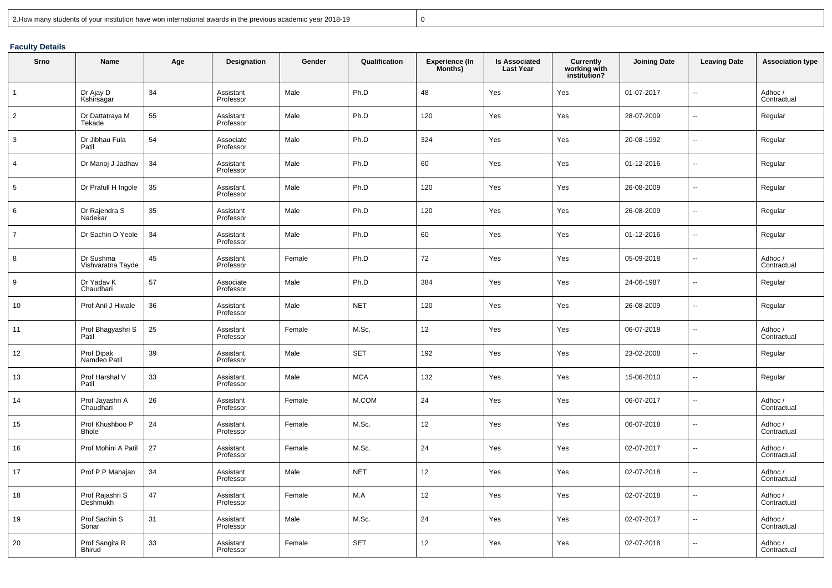|  | 2. How many students of your institution have won international awards in the previous academic year 2018-19 |  |
|--|--------------------------------------------------------------------------------------------------------------|--|
|--|--------------------------------------------------------------------------------------------------------------|--|

<sup>0</sup>

## **Faculty Details**

| Srno           | Name                            | Age | Designation            | Gender | Qualification | <b>Experience (In</b><br>Months) | <b>Is Associated</b><br><b>Last Year</b> | <b>Currently</b><br>working with<br>institution? | <b>Joining Date</b> | <b>Leaving Date</b> | <b>Association type</b> |
|----------------|---------------------------------|-----|------------------------|--------|---------------|----------------------------------|------------------------------------------|--------------------------------------------------|---------------------|---------------------|-------------------------|
| $\mathbf{1}$   | Dr Ajay D<br>Kshirsagar         | 34  | Assistant<br>Professor | Male   | Ph.D          | 48                               | Yes                                      | Yes                                              | 01-07-2017          |                     | Adhoc /<br>Contractual  |
| $\overline{2}$ | Dr Dattatraya M<br>Tekade       | 55  | Assistant<br>Professor | Male   | Ph.D          | 120                              | Yes                                      | Yes                                              | 28-07-2009          | $\overline{a}$      | Regular                 |
| 3              | Dr Jibhau Fula<br>Patil         | 54  | Associate<br>Professor | Male   | Ph.D          | 324                              | Yes                                      | Yes                                              | 20-08-1992          |                     | Regular                 |
| $\overline{4}$ | Dr Manoj J Jadhav               | 34  | Assistant<br>Professor | Male   | Ph.D          | 60                               | Yes                                      | Yes                                              | 01-12-2016          | ш.                  | Regular                 |
| 5              | Dr Prafull H Ingole             | 35  | Assistant<br>Professor | Male   | Ph.D          | 120                              | Yes                                      | Yes                                              | 26-08-2009          |                     | Regular                 |
| 6              | Dr Rajendra S<br>Nadekar        | 35  | Assistant<br>Professor | Male   | Ph.D          | 120                              | Yes                                      | Yes                                              | 26-08-2009          | Щ.                  | Regular                 |
| $\overline{7}$ | Dr Sachin D Yeole               | 34  | Assistant<br>Professor | Male   | Ph.D          | 60                               | Yes                                      | Yes                                              | 01-12-2016          | ш,                  | Regular                 |
| 8              | Dr Sushma<br>Vishvaratna Tayde  | 45  | Assistant<br>Professor | Female | Ph.D          | 72                               | Yes                                      | Yes                                              | 05-09-2018          | --                  | Adhoc/<br>Contractual   |
| 9              | Dr Yadav K<br>Chaudhari         | 57  | Associate<br>Professor | Male   | Ph.D          | 384                              | Yes                                      | Yes                                              | 24-06-1987          |                     | Regular                 |
| 10             | Prof Anil J Hiwale              | 36  | Assistant<br>Professor | Male   | <b>NET</b>    | 120                              | Yes                                      | Yes                                              | 26-08-2009          | ш,                  | Regular                 |
| 11             | Prof Bhagyashri S<br>Patil      | 25  | Assistant<br>Professor | Female | M.Sc.         | 12 <sup>°</sup>                  | Yes                                      | Yes                                              | 06-07-2018          | --                  | Adhoc/<br>Contractual   |
| 12             | Prof Dipak<br>Namdeo Patil      | 39  | Assistant<br>Professor | Male   | <b>SET</b>    | 192                              | Yes                                      | Yes                                              | 23-02-2008          |                     | Regular                 |
| 13             | Prof Harshal V<br>Patil         | 33  | Assistant<br>Professor | Male   | <b>MCA</b>    | 132                              | Yes                                      | Yes                                              | 15-06-2010          |                     | Regular                 |
| 14             | Prof Jayashri A<br>Chaudhari    | 26  | Assistant<br>Professor | Female | M.COM         | 24                               | Yes                                      | Yes                                              | 06-07-2017          |                     | Adhoc /<br>Contractual  |
| 15             | Prof Khushboo P<br><b>Bhole</b> | 24  | Assistant<br>Professor | Female | M.Sc.         | 12                               | Yes                                      | Yes                                              | 06-07-2018          |                     | Adhoc /<br>Contractual  |
| 16             | Prof Mohini A Patil             | 27  | Assistant<br>Professor | Female | M.Sc.         | 24                               | Yes                                      | Yes                                              | 02-07-2017          | ä.                  | Adhoc/<br>Contractual   |
| 17             | Prof P P Mahajan                | 34  | Assistant<br>Professor | Male   | <b>NET</b>    | 12                               | Yes                                      | Yes                                              | 02-07-2018          | --                  | Adhoc/<br>Contractual   |
| 18             | Prof Rajashri S<br>Deshmukh     | 47  | Assistant<br>Professor | Female | M.A           | 12                               | Yes                                      | Yes                                              | 02-07-2018          |                     | Adhoc/<br>Contractual   |
| 19             | Prof Sachin S<br>Sonar          | 31  | Assistant<br>Professor | Male   | M.Sc.         | 24                               | Yes                                      | Yes                                              | 02-07-2017          |                     | Adhoc /<br>Contractual  |
| 20             | Prof Sangita R<br><b>Bhirud</b> | 33  | Assistant<br>Professor | Female | <b>SET</b>    | 12                               | Yes                                      | Yes                                              | 02-07-2018          | $\overline{a}$      | Adhoc/<br>Contractual   |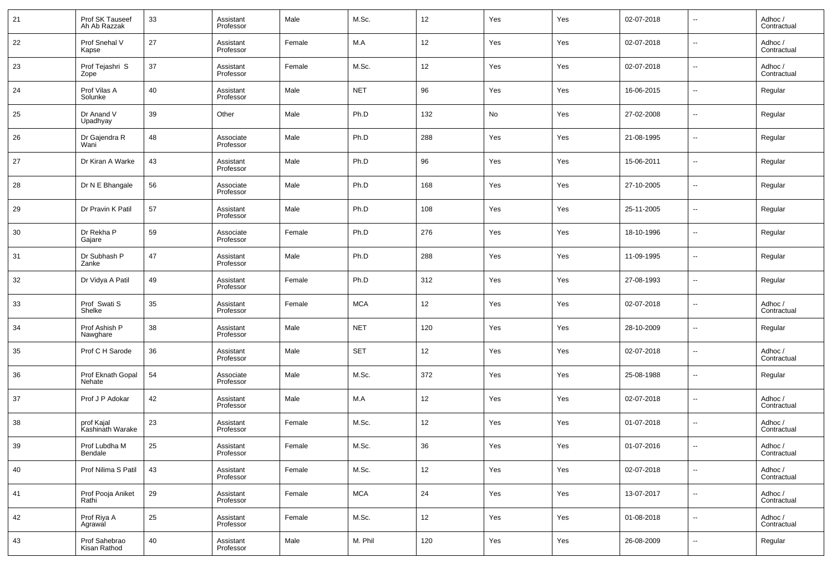| 21 | Prof SK Tauseef<br>Ah Ab Razzak | 33 | Assistant<br>Professor | Male   | M.Sc.      | 12  | Yes | Yes | 02-07-2018 | $\overline{\phantom{a}}$ | Adhoc /<br>Contractual |
|----|---------------------------------|----|------------------------|--------|------------|-----|-----|-----|------------|--------------------------|------------------------|
| 22 | Prof Snehal V<br>Kapse          | 27 | Assistant<br>Professor | Female | M.A        | 12  | Yes | Yes | 02-07-2018 | $\overline{\phantom{a}}$ | Adhoc /<br>Contractual |
| 23 | Prof Tejashri S<br>Zope         | 37 | Assistant<br>Professor | Female | M.Sc.      | 12  | Yes | Yes | 02-07-2018 | $\overline{\phantom{a}}$ | Adhoc /<br>Contractual |
| 24 | Prof Vilas A<br>Solunke         | 40 | Assistant<br>Professor | Male   | <b>NET</b> | 96  | Yes | Yes | 16-06-2015 | $\overline{\phantom{a}}$ | Regular                |
| 25 | Dr Anand V<br>Upadhyay          | 39 | Other                  | Male   | Ph.D       | 132 | No  | Yes | 27-02-2008 | $\overline{\phantom{a}}$ | Regular                |
| 26 | Dr Gajendra R<br>Wani           | 48 | Associate<br>Professor | Male   | Ph.D       | 288 | Yes | Yes | 21-08-1995 | $\overline{\phantom{a}}$ | Regular                |
| 27 | Dr Kiran A Warke                | 43 | Assistant<br>Professor | Male   | Ph.D       | 96  | Yes | Yes | 15-06-2011 | $\overline{\phantom{a}}$ | Regular                |
| 28 | Dr N E Bhangale                 | 56 | Associate<br>Professor | Male   | Ph.D       | 168 | Yes | Yes | 27-10-2005 | $\overline{\phantom{a}}$ | Regular                |
| 29 | Dr Pravin K Patil               | 57 | Assistant<br>Professor | Male   | Ph.D       | 108 | Yes | Yes | 25-11-2005 | $\overline{\phantom{a}}$ | Regular                |
| 30 | Dr Rekha P<br>Gajare            | 59 | Associate<br>Professor | Female | Ph.D       | 276 | Yes | Yes | 18-10-1996 | $\overline{\phantom{a}}$ | Regular                |
| 31 | Dr Subhash P<br>Zanke           | 47 | Assistant<br>Professor | Male   | Ph.D       | 288 | Yes | Yes | 11-09-1995 | $\overline{\phantom{a}}$ | Regular                |
| 32 | Dr Vidya A Patil                | 49 | Assistant<br>Professor | Female | Ph.D       | 312 | Yes | Yes | 27-08-1993 | $\overline{\phantom{a}}$ | Regular                |
| 33 | Prof Swati S<br>Shelke          | 35 | Assistant<br>Professor | Female | <b>MCA</b> | 12  | Yes | Yes | 02-07-2018 | $\overline{\phantom{a}}$ | Adhoc /<br>Contractual |
| 34 | Prof Ashish P<br>Nawghare       | 38 | Assistant<br>Professor | Male   | <b>NET</b> | 120 | Yes | Yes | 28-10-2009 | $\overline{\phantom{a}}$ | Regular                |
| 35 | Prof C H Sarode                 | 36 | Assistant<br>Professor | Male   | <b>SET</b> | 12  | Yes | Yes | 02-07-2018 | $\overline{\phantom{a}}$ | Adhoc /<br>Contractual |
| 36 | Prof Eknath Gopal<br>Nehate     | 54 | Associate<br>Professor | Male   | M.Sc.      | 372 | Yes | Yes | 25-08-1988 | $\overline{\phantom{a}}$ | Regular                |
| 37 | Prof J P Adokar                 | 42 | Assistant<br>Professor | Male   | M.A        | 12  | Yes | Yes | 02-07-2018 | $\overline{\phantom{a}}$ | Adhoc /<br>Contractual |
| 38 | prof Kajal<br>Kashinath Warake  | 23 | Assistant<br>Professor | Female | M.Sc.      | 12  | Yes | Yes | 01-07-2018 | --                       | Adhoc /<br>Contractual |
| 39 | Prof Lubdha M<br>Bendale        | 25 | Assistant<br>Professor | Female | M.Sc.      | 36  | Yes | Yes | 01-07-2016 | $\overline{\phantom{a}}$ | Adhoc /<br>Contractual |
| 40 | Prof Nilima S Patil             | 43 | Assistant<br>Professor | Female | M.Sc.      | 12  | Yes | Yes | 02-07-2018 | $\sim$                   | Adhoc /<br>Contractual |
| 41 | Prof Pooja Aniket<br>Rathi      | 29 | Assistant<br>Professor | Female | <b>MCA</b> | 24  | Yes | Yes | 13-07-2017 | $\sim$                   | Adhoc /<br>Contractual |
| 42 | Prof Riya A<br>Agrawal          | 25 | Assistant<br>Professor | Female | M.Sc.      | 12  | Yes | Yes | 01-08-2018 | $\sim$                   | Adhoc /<br>Contractual |
| 43 | Prof Sahebrao<br>Kisan Rathod   | 40 | Assistant<br>Professor | Male   | M. Phil    | 120 | Yes | Yes | 26-08-2009 | $\overline{\phantom{a}}$ | Regular                |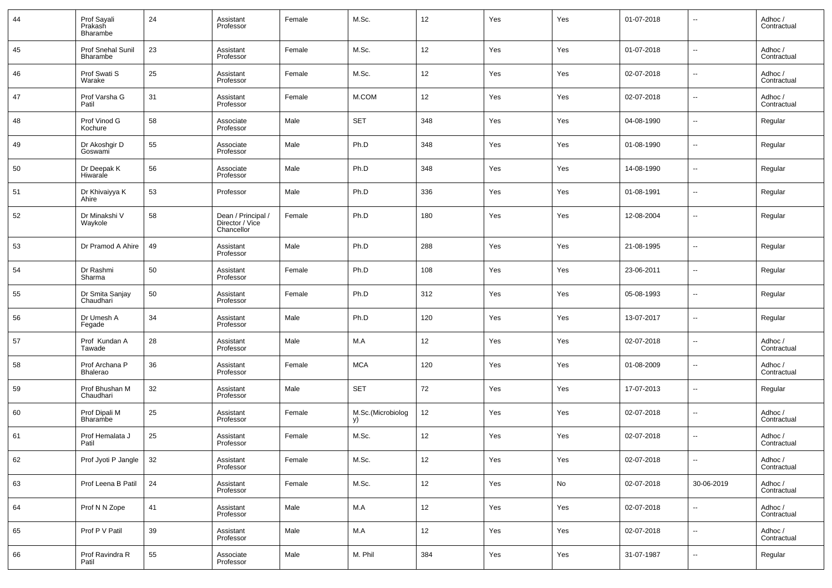| 44 | Prof Sayali<br>Prakash<br>Bharambe | 24 | Assistant<br>Professor                              | Female | M.Sc.                   | 12     | Yes | Yes | 01-07-2018 | --                       | Adhoc /<br>Contractual |
|----|------------------------------------|----|-----------------------------------------------------|--------|-------------------------|--------|-----|-----|------------|--------------------------|------------------------|
| 45 | Prof Snehal Sunil<br>Bharambe      | 23 | Assistant<br>Professor                              | Female | M.Sc.                   | 12     | Yes | Yes | 01-07-2018 | н.                       | Adhoc /<br>Contractual |
| 46 | Prof Swati S<br>Warake             | 25 | Assistant<br>Professor                              | Female | M.Sc.                   | 12     | Yes | Yes | 02-07-2018 | $\overline{\phantom{a}}$ | Adhoc /<br>Contractual |
| 47 | Prof Varsha G<br>Patil             | 31 | Assistant<br>Professor                              | Female | M.COM                   | 12     | Yes | Yes | 02-07-2018 | н.                       | Adhoc /<br>Contractual |
| 48 | Prof Vinod G<br>Kochure            | 58 | Associate<br>Professor                              | Male   | <b>SET</b>              | 348    | Yes | Yes | 04-08-1990 | ш,                       | Regular                |
| 49 | Dr Akoshgir D<br>Goswami           | 55 | Associate<br>Professor                              | Male   | Ph.D                    | 348    | Yes | Yes | 01-08-1990 | ш,                       | Regular                |
| 50 | Dr Deepak K<br>Hiwarale            | 56 | Associate<br>Professor                              | Male   | Ph.D                    | 348    | Yes | Yes | 14-08-1990 | ш,                       | Regular                |
| 51 | Dr Khivaiyya K<br>Ahire            | 53 | Professor                                           | Male   | Ph.D                    | 336    | Yes | Yes | 01-08-1991 | ш,                       | Regular                |
| 52 | Dr Minakshi V<br>Waykole           | 58 | Dean / Principal /<br>Director / Vice<br>Chancellor | Female | Ph.D                    | 180    | Yes | Yes | 12-08-2004 | $\overline{a}$           | Regular                |
| 53 | Dr Pramod A Ahire                  | 49 | Assistant<br>Professor                              | Male   | Ph.D                    | 288    | Yes | Yes | 21-08-1995 | --                       | Regular                |
| 54 | Dr Rashmi<br>Sharma                | 50 | Assistant<br>Professor                              | Female | Ph.D                    | 108    | Yes | Yes | 23-06-2011 | --                       | Regular                |
| 55 | Dr Smita Sanjay<br>Chaudhari       | 50 | Assistant<br>Professor                              | Female | Ph.D                    | 312    | Yes | Yes | 05-08-1993 | --                       | Regular                |
| 56 | Dr Umesh A<br>Fegade               | 34 | Assistant<br>Professor                              | Male   | Ph.D                    | 120    | Yes | Yes | 13-07-2017 | --                       | Regular                |
| 57 | Prof Kundan A<br>Tawade            | 28 | Assistant<br>Professor                              | Male   | M.A                     | 12     | Yes | Yes | 02-07-2018 | --                       | Adhoc /<br>Contractual |
| 58 | Prof Archana P<br>Bhalerao         | 36 | Assistant<br>Professor                              | Female | <b>MCA</b>              | 120    | Yes | Yes | 01-08-2009 | --                       | Adhoc /<br>Contractual |
| 59 | Prof Bhushan M<br>Chaudhari        | 32 | Assistant<br>Professor                              | Male   | <b>SET</b>              | 72     | Yes | Yes | 17-07-2013 | ш,                       | Regular                |
| 60 | Prof Dipali M<br><b>Bharambe</b>   | 25 | Assistant<br>Professor                              | Female | M.Sc.(Microbiolog<br>y) | 12     | Yes | Yes | 02-07-2018 | --                       | Adhoc /<br>Contractual |
| 61 | Prof Hemalata J<br>Patil           | 25 | Assistant<br>Professor                              | Female | M.Sc.                   | 12     | Yes | Yes | 02-07-2018 | --                       | Adhoc /<br>Contractual |
| 62 | Prof Jyoti P Jangle                | 32 | Assistant<br>Professor                              | Female | M.Sc.                   | $12\,$ | Yes | Yes | 02-07-2018 | ш,                       | Adhoc /<br>Contractual |
| 63 | Prof Leena B Patil                 | 24 | Assistant<br>Professor                              | Female | M.Sc.                   | 12     | Yes | No  | 02-07-2018 | 30-06-2019               | Adhoc /<br>Contractual |
| 64 | Prof N N Zope                      | 41 | Assistant<br>Professor                              | Male   | M.A                     | 12     | Yes | Yes | 02-07-2018 | ш,                       | Adhoc /<br>Contractual |
| 65 | Prof P V Patil                     | 39 | Assistant<br>Professor                              | Male   | M.A                     | 12     | Yes | Yes | 02-07-2018 | Щ,                       | Adhoc /<br>Contractual |
| 66 | Prof Ravindra R<br>Patil           | 55 | Associate<br>Professor                              | Male   | M. Phil                 | 384    | Yes | Yes | 31-07-1987 | --                       | Regular                |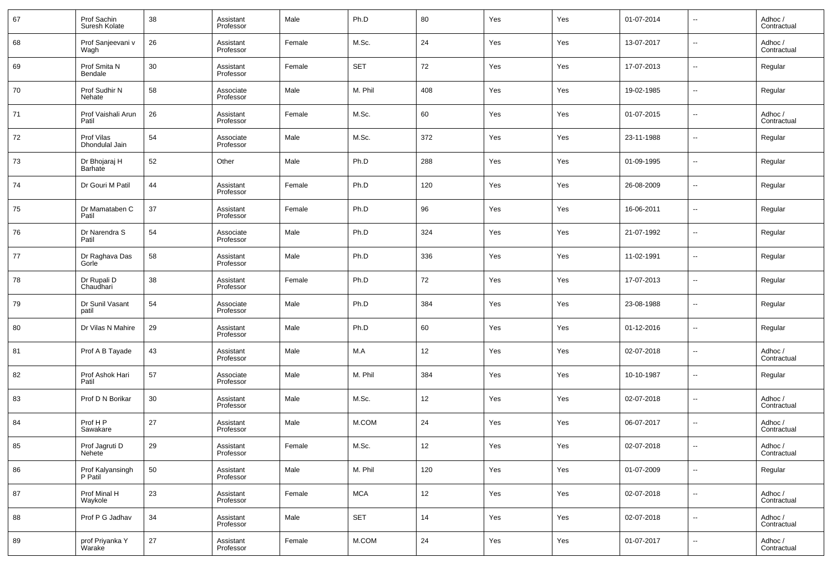| 67 | Prof Sachin<br>Suresh Kolate | 38 | Assistant<br>Professor | Male   | Ph.D       | 80  | Yes | Yes | 01-07-2014 | $\overline{\phantom{a}}$ | Adhoc /<br>Contractual |
|----|------------------------------|----|------------------------|--------|------------|-----|-----|-----|------------|--------------------------|------------------------|
| 68 | Prof Sanjeevani v<br>Wagh    | 26 | Assistant<br>Professor | Female | M.Sc.      | 24  | Yes | Yes | 13-07-2017 | $\overline{\phantom{a}}$ | Adhoc /<br>Contractual |
| 69 | Prof Smita N<br>Bendale      | 30 | Assistant<br>Professor | Female | <b>SET</b> | 72  | Yes | Yes | 17-07-2013 | $\overline{\phantom{a}}$ | Regular                |
| 70 | Prof Sudhir N<br>Nehate      | 58 | Associate<br>Professor | Male   | M. Phil    | 408 | Yes | Yes | 19-02-1985 | $\overline{\phantom{a}}$ | Regular                |
| 71 | Prof Vaishali Arun<br>Patil  | 26 | Assistant<br>Professor | Female | M.Sc.      | 60  | Yes | Yes | 01-07-2015 | $\overline{\phantom{a}}$ | Adhoc /<br>Contractual |
| 72 | Prof Vilas<br>Dhondulal Jain | 54 | Associate<br>Professor | Male   | M.Sc.      | 372 | Yes | Yes | 23-11-1988 | $\overline{\phantom{a}}$ | Regular                |
| 73 | Dr Bhojaraj H<br>Barhate     | 52 | Other                  | Male   | Ph.D       | 288 | Yes | Yes | 01-09-1995 | $\overline{\phantom{a}}$ | Regular                |
| 74 | Dr Gouri M Patil             | 44 | Assistant<br>Professor | Female | Ph.D       | 120 | Yes | Yes | 26-08-2009 | $\overline{\phantom{a}}$ | Regular                |
| 75 | Dr Mamataben C<br>Patil      | 37 | Assistant<br>Professor | Female | Ph.D       | 96  | Yes | Yes | 16-06-2011 | $\overline{\phantom{a}}$ | Regular                |
| 76 | Dr Narendra S<br>Patil       | 54 | Associate<br>Professor | Male   | Ph.D       | 324 | Yes | Yes | 21-07-1992 | $\overline{\phantom{a}}$ | Regular                |
| 77 | Dr Raghava Das<br>Gorle      | 58 | Assistant<br>Professor | Male   | Ph.D       | 336 | Yes | Yes | 11-02-1991 | $\overline{\phantom{a}}$ | Regular                |
| 78 | Dr Rupali D<br>Chaudhari     | 38 | Assistant<br>Professor | Female | Ph.D       | 72  | Yes | Yes | 17-07-2013 | $\overline{\phantom{a}}$ | Regular                |
| 79 | Dr Sunil Vasant<br>patil     | 54 | Associate<br>Professor | Male   | Ph.D       | 384 | Yes | Yes | 23-08-1988 | $\overline{\phantom{a}}$ | Regular                |
| 80 | Dr Vilas N Mahire            | 29 | Assistant<br>Professor | Male   | Ph.D       | 60  | Yes | Yes | 01-12-2016 | $\overline{\phantom{a}}$ | Regular                |
| 81 | Prof A B Tayade              | 43 | Assistant<br>Professor | Male   | M.A        | 12  | Yes | Yes | 02-07-2018 | $\overline{\phantom{a}}$ | Adhoc /<br>Contractual |
| 82 | Prof Ashok Hari<br>Patil     | 57 | Associate<br>Professor | Male   | M. Phil    | 384 | Yes | Yes | 10-10-1987 | $\overline{\phantom{a}}$ | Regular                |
| 83 | Prof D N Borikar             | 30 | Assistant<br>Professor | Male   | M.Sc.      | 12  | Yes | Yes | 02-07-2018 | $\overline{\phantom{a}}$ | Adhoc /<br>Contractual |
| 84 | Prof H P<br>Sawakare         | 27 | Assistant<br>Professor | Male   | M.COM      | 24  | Yes | Yes | 06-07-2017 | $\overline{\phantom{a}}$ | Adhoc /<br>Contractual |
| 85 | Prof Jagruti D<br>Nehete     | 29 | Assistant<br>Professor | Female | M.Sc.      | 12  | Yes | Yes | 02-07-2018 | $\overline{\phantom{a}}$ | Adhoc /<br>Contractual |
| 86 | Prof Kalyansingh<br>P Patil  | 50 | Assistant<br>Professor | Male   | M. Phil    | 120 | Yes | Yes | 01-07-2009 | $\overline{\phantom{a}}$ | Regular                |
| 87 | Prof Minal H<br>Waykole      | 23 | Assistant<br>Professor | Female | <b>MCA</b> | 12  | Yes | Yes | 02-07-2018 | $\overline{\phantom{a}}$ | Adhoc /<br>Contractual |
| 88 | Prof P G Jadhav              | 34 | Assistant<br>Professor | Male   | <b>SET</b> | 14  | Yes | Yes | 02-07-2018 | $\overline{\phantom{a}}$ | Adhoc /<br>Contractual |
| 89 | prof Priyanka Y<br>Warake    | 27 | Assistant<br>Professor | Female | M.COM      | 24  | Yes | Yes | 01-07-2017 | $\overline{\phantom{a}}$ | Adhoc /<br>Contractual |